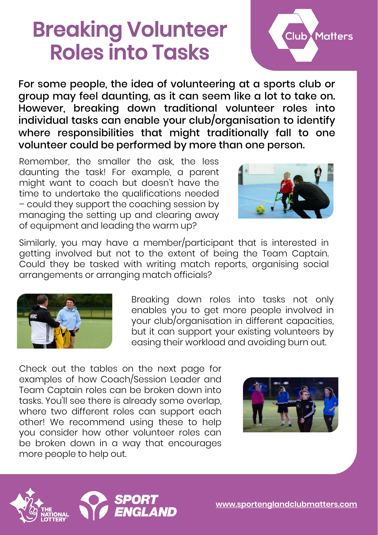## Breaking Volunteer Roles into Tasks



For some people, the idea of volunteering at a sports club or group may feel daunting, as it can seem like a lot to take on. However, breaking down traditional volunteer roles into individual tasks can enable your club/organisation to identify where responsibilities that might traditionally fall to one volunteer could be performed by more than one person.

Remember, the smaller the ask, the less daunting the task! For example, a parent might want to coach but doesn't have the time to undertake the qualifications needed – could they support the coaching session by managing the setting up and clearing away of equipment and leading the warm up?



Similarly, you may have a member/participant that is interested in getting involved but not to the extent of being the Team Captain. Could they be tasked with writing match reports, organising social arrangements or arranging match officials?



Breaking down roles into tasks not only enables you to get more people involved in your club/organisation in different capacities, but it can support your existing volunteers by easing their workload and avoiding burn out.

Check out the tables on the next page for examples of how Coach/Session Leader and Team Captain roles can be broken down into tasks. You'll see there is already some overlap, where two different roles can support each other! We recommend using these to help you consider how other volunteer roles can be broken down in a way that encourages more people to help out.